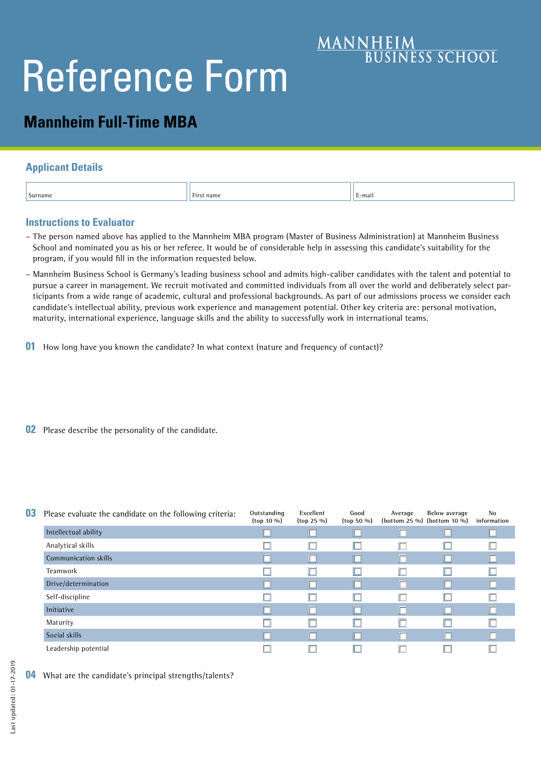# Reference Form

# **Mannheim Full-Time MBA**

## **Applicant Details**

| :-mail<br>.<br>$\sim$<br>Surname<br>the contract of the contract of the contract of<br>First name<br>. .<br>the contract of the contract of the<br>. |  |  |  |
|------------------------------------------------------------------------------------------------------------------------------------------------------|--|--|--|
|------------------------------------------------------------------------------------------------------------------------------------------------------|--|--|--|

**MANNHEIM**<br>BUSINESS SCHOOL

### **Instructions to Evaluator**

- The person named above has applied to the Mannheim MBA program (Master of Business Administration) at Mannheim Business School and nominated you as his or her referee. It would be of considerable help in assessing this candidate's suitability for the program, if you would fill in the information requested below.
- Mannheim Business School is Germany's leading business school and admits high-caliber candidates with the talent and potential to pursue a career in management. We recruit motivated and committed individuals from all over the world and deliberately select participants from a wide range of academic, cultural and professional backgrounds. As part of our admissions process we consider each candidate's intellectual ability, previous work experience and management potential. Other key criteria are: personal motivation, maturity, international experience, language skills and the ability to successfully work in international teams.
- **01** How long have you known the candidate? In what context (nature and frequency of contact)?
- **02** Please describe the personality of the candidate.

| 03 | Please evaluate the candidate on the following criteria: | Outstanding<br>$({top} 10\%)$ | Excellent<br>$({top 25 \, \%})$ | Good<br>$({top\ 50\ 90})$ | Average | Below average<br>(bottom 25 %) (bottom 10 %) | No<br>information |
|----|----------------------------------------------------------|-------------------------------|---------------------------------|---------------------------|---------|----------------------------------------------|-------------------|
|    | Intellectual ability                                     |                               |                                 |                           | ⊏       |                                              |                   |
|    | Analytical skills                                        |                               |                                 |                           |         |                                              |                   |
|    | Communication skills                                     |                               |                                 |                           | Г       |                                              |                   |
|    | Teamwork                                                 |                               |                                 |                           | E       |                                              |                   |
|    | Drive/determination                                      |                               | II. I                           |                           | П       |                                              |                   |
|    | Self-discipline                                          |                               |                                 |                           | IГ      |                                              |                   |
|    | <b>Initiative</b>                                        |                               | ⊓                               |                           | ┍       | Г                                            |                   |
|    | Maturity                                                 |                               |                                 |                           | Ē       |                                              |                   |
|    | Social skills                                            |                               | ┍                               |                           | Г       | 囗                                            |                   |
|    | Leadership potential                                     |                               |                                 |                           |         |                                              |                   |

**04** What are the candidate's principal strengths/talents?